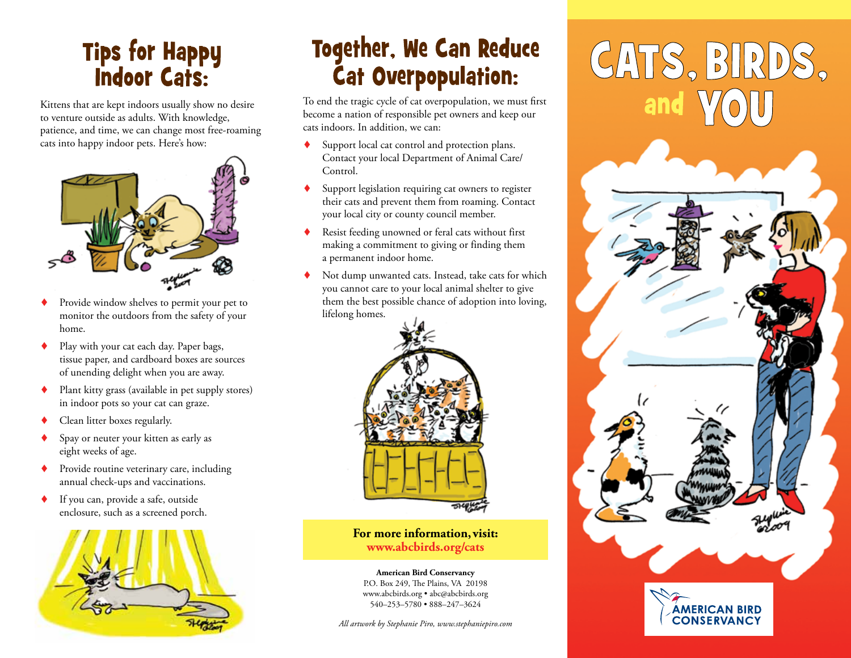# **Tips for Happy<br>Indoor Cats:**

Kittens that are kept indoors usually show no desire to venture outside as adults. With knowledge, patience, and time, we can change most free-roaming cats into happy indoor pets. Here's how:



- Provide window shelves to permit your pet to monitor the outdoors from the safety of your home.
- ◆ Play with your cat each day. Paper bags, tissue paper, and cardboard boxes are sources of unending delight when you are away.
- Plant kitty grass (available in pet supply stores) in indoor pots so your cat can graze.
- Clean litter boxes regularly.
- Spay or neuter your kitten as early as eight weeks of age.
- Provide routine veterinary care, including annual check-ups and vaccinations.
- ◆ If you can, provide a safe, outside enclosure, such as a screened porch.



# **Together, We Can Reduce Cat Overpopulation:**

To end the tragic cycle of cat overpopulation, we must first become a nation of responsible pet owners and keep our cats indoors. In addition, we can:

- Support local cat control and protection plans. Contact your local Department of Animal Care/ Control.
- Support legislation requiring cat owners to register their cats and prevent them from roaming. Contact your local city or county council member.
- Resist feeding unowned or feral cats without first making a commitment to giving or finding them a permanent indoor home.
- Not dump unwanted cats. Instead, take cats for which you cannot care to your local animal shelter to give them the best possible chance of adoption into loving, lifelong homes.



**For more information, visit: www.abcbirds.org/cats**

**American Bird Conservancy** P.O. Box 249, The Plains, VA 20198 www.abcbirds.org • abc@abcbirds.org 540–253–5780 • 888–247–3624

*All artwork by Stephanie Piro, www.stephaniepiro.com*

# CATS, BIRDS,

**AMERICAN BIRD CONSERVANCY**